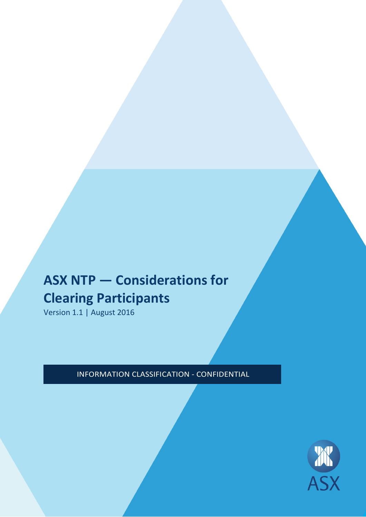# **ASX NTP — Considerations for Clearing Participants**

Version 1.1 | August 2016

INFORMATION CLASSIFICATION - CONFIDENTIAL

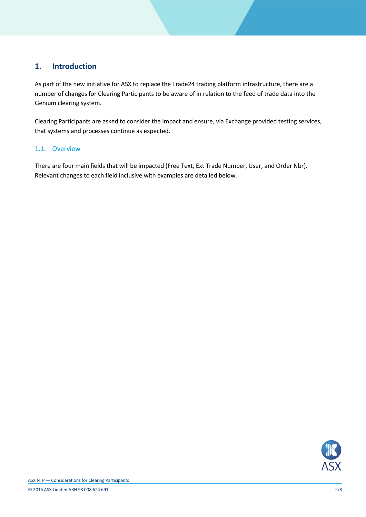## **1. Introduction**

As part of the new initiative for ASX to replace the Trade24 trading platform infrastructure, there are a number of changes for Clearing Participants to be aware of in relation to the feed of trade data into the Genium clearing system.

Clearing Participants are asked to consider the impact and ensure, via Exchange provided testing services, that systems and processes continue as expected.

#### 1.1. Overview

There are four main fields that will be impacted (Free Text, Ext Trade Number, User, and Order Nbr). Relevant changes to each field inclusive with examples are detailed below.

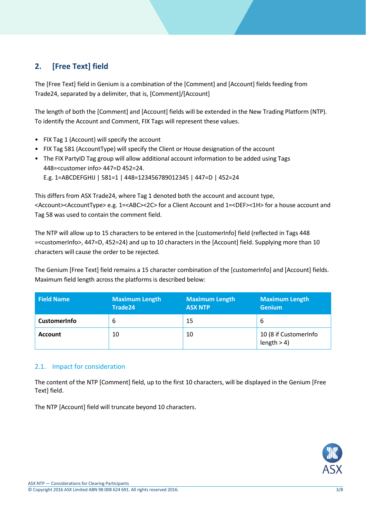# **2. [Free Text] field**

The [Free Text] field in Genium is a combination of the [Comment] and [Account] fields feeding from Trade24, separated by a delimiter, that is, [Comment]/[Account]

The length of both the [Comment] and [Account] fields will be extended in the New Trading Platform (NTP). To identify the Account and Comment, FIX Tags will represent these values.

- FIX Tag 1 (Account) will specify the account
- FIX Tag 581 (AccountType) will specify the Client or House designation of the account
- The FIX PartyID Tag group will allow additional account information to be added using Tags 448=<customer info> 447=D 452=24.

E.g. 1=ABCDEFGHIJ | 581=1 | 448=123456789012345 | 447=D | 452=24

This differs from ASX Trade24, where Tag 1 denoted both the account and account type, <Account><AccountType> e.g. 1=<ABC><2C> for a Client Account and 1=<DEF><1H> for a house account and Tag 58 was used to contain the comment field.

The NTP will allow up to 15 characters to be entered in the [customerInfo] field (reflected in Tags 448 =<customerInfo>, 447=D, 452=24) and up to 10 characters in the [Account] field. Supplying more than 10 characters will cause the order to be rejected.

The Genium [Free Text] field remains a 15 character combination of the [customerInfo] and [Account] fields. Maximum field length across the platforms is described below:

| <b>Field Name</b>   | <b>Maximum Length</b><br>Trade24 | <b>Maximum Length</b><br><b>ASX NTP</b> | <b>Maximum Length</b><br><b>Genium</b> |
|---------------------|----------------------------------|-----------------------------------------|----------------------------------------|
| <b>CustomerInfo</b> | 6                                | 15                                      | -6                                     |
| <b>Account</b>      | 10                               | 10                                      | 10 (8 if CustomerInfo<br>length > 4    |

## 2.1. Impact for consideration

The content of the NTP [Comment] field, up to the first 10 characters, will be displayed in the Genium [Free Text] field.

The NTP [Account] field will truncate beyond 10 characters.

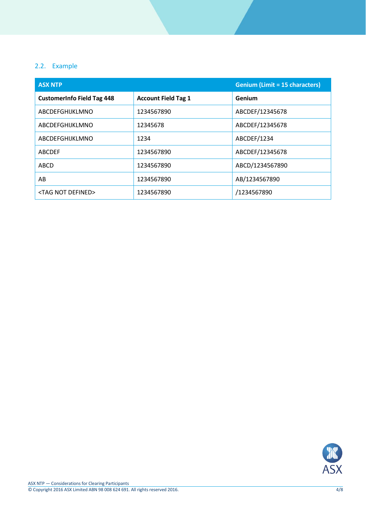## 2.2. Example

| <b>ASX NTP</b>                    |                            | <b>Genium (Limit = 15 characters)</b> |
|-----------------------------------|----------------------------|---------------------------------------|
| <b>CustomerInfo Field Tag 448</b> | <b>Account Field Tag 1</b> | Genium                                |
| ABCDEFGHIJKLMNO                   | 1234567890                 | ABCDEF/12345678                       |
| ABCDEFGHIJKLMNO                   | 12345678                   | ABCDEF/12345678                       |
| ABCDEFGHIJKLMNO                   | 1234                       | ABCDEF/1234                           |
| <b>ABCDEF</b>                     | 1234567890                 | ABCDEF/12345678                       |
| <b>ABCD</b>                       | 1234567890                 | ABCD/1234567890                       |
| AB                                | 1234567890                 | AB/1234567890                         |
| <tag defined="" not=""></tag>     | 1234567890                 | /1234567890                           |

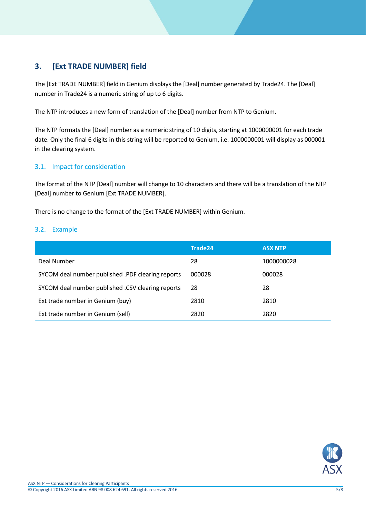## **3. [Ext TRADE NUMBER] field**

The [Ext TRADE NUMBER] field in Genium displays the [Deal] number generated by Trade24. The [Deal] number in Trade24 is a numeric string of up to 6 digits.

The NTP introduces a new form of translation of the [Deal] number from NTP to Genium.

The NTP formats the [Deal] number as a numeric string of 10 digits, starting at 1000000001 for each trade date. Only the final 6 digits in this string will be reported to Genium, i.e. 1000000001 will display as 000001 in the clearing system.

## 3.1. Impact for consideration

The format of the NTP [Deal] number will change to 10 characters and there will be a translation of the NTP [Deal] number to Genium [Ext TRADE NUMBER].

There is no change to the format of the [Ext TRADE NUMBER] within Genium.

#### 3.2. Example

|                                                   | Trade24 | <b>ASX NTP</b> |
|---------------------------------------------------|---------|----------------|
| Deal Number                                       | 28      | 1000000028     |
| SYCOM deal number published .PDF clearing reports | 000028  | 000028         |
| SYCOM deal number published .CSV clearing reports | 28      | 28             |
| Ext trade number in Genium (buy)                  | 2810    | 2810           |
| Ext trade number in Genium (sell)                 | 2820    | 2820           |

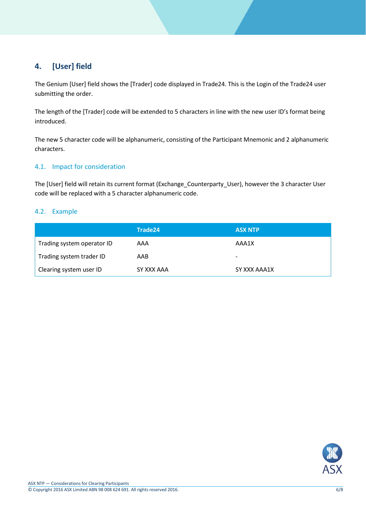# **4. [User] field**

The Genium [User] field shows the [Trader] code displayed in Trade24. This is the Login of the Trade24 user submitting the order.

The length of the [Trader] code will be extended to 5 characters in line with the new user ID's format being introduced.

The new 5 character code will be alphanumeric, consisting of the Participant Mnemonic and 2 alphanumeric characters.

#### 4.1. Impact for consideration

The [User] field will retain its current format (Exchange\_Counterparty\_User), however the 3 character User code will be replaced with a 5 character alphanumeric code.

#### 4.2. Example

|                            | Trade24    | <b>ASX NTP</b>           |
|----------------------------|------------|--------------------------|
| Trading system operator ID | AAA        | AAA1X                    |
| Trading system trader ID   | AAB        | $\overline{\phantom{0}}$ |
| Clearing system user ID    | SY XXX AAA | SY XXX AAA1X             |

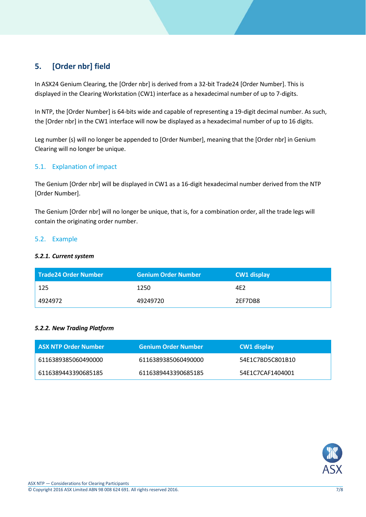# **5. [Order nbr] field**

In ASX24 Genium Clearing, the [Order nbr] is derived from a 32-bit Trade24 [Order Number]. This is displayed in the Clearing Workstation (CW1) interface as a hexadecimal number of up to 7-digits.

In NTP, the [Order Number] is 64-bits wide and capable of representing a 19-digit decimal number. As such, the [Order nbr] in the CW1 interface will now be displayed as a hexadecimal number of up to 16 digits.

Leg number (s) will no longer be appended to [Order Number], meaning that the [Order nbr] in Genium Clearing will no longer be unique.

## 5.1. Explanation of impact

The Genium [Order nbr] will be displayed in CW1 as a 16-digit hexadecimal number derived from the NTP [Order Number].

The Genium [Order nbr] will no longer be unique, that is, for a combination order, all the trade legs will contain the originating order number.

#### 5.2. Example

#### *5.2.1. Current system*

| Trade24 Order Number | <b>Genium Order Number</b> | <b>CW1 display</b> |
|----------------------|----------------------------|--------------------|
| -125                 | 1250                       | 4E2                |
| 4924972              | 49249720                   | 2EF7DB8            |

#### *5.2.2. New Trading Platform*

| ASX NTP Order Number | <b>Genium Order Number</b> | <b>CW1 display</b> |
|----------------------|----------------------------|--------------------|
| 6116389385060490000  | 6116389385060490000        | 54E1C7BD5C801B10   |
| 6116389443390685185  | 6116389443390685185        | 54E1C7CAF1404001   |